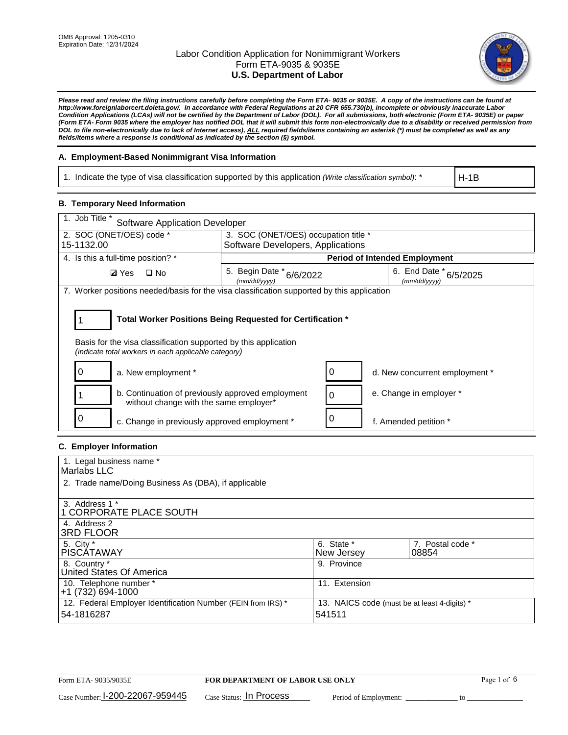

*Please read and review the filing instructions carefully before completing the Form ETA- 9035 or 9035E. A copy of the instructions can be found at http://www.foreignlaborcert.doleta.gov/. In accordance with Federal Regulations at 20 CFR 655.730(b), incomplete or obviously inaccurate Labor Condition Applications (LCAs) will not be certified by the Department of Labor (DOL). For all submissions, both electronic (Form ETA- 9035E) or paper (Form ETA- Form 9035 where the employer has notified DOL that it will submit this form non-electronically due to a disability or received permission from DOL to file non-electronically due to lack of Internet access), ALL required fields/items containing an asterisk (\*) must be completed as well as any fields/items where a response is conditional as indicated by the section (§) symbol.* 

### **A. Employment-Based Nonimmigrant Visa Information**

1. Indicate the type of visa classification supported by this application *(Write classification symbol)*: \*

H-1B

#### **B. Temporary Need Information**

| 1. Job Title *<br><b>Software Application Developer</b>                                                                                                                               |                                          |  |                                        |  |  |  |
|---------------------------------------------------------------------------------------------------------------------------------------------------------------------------------------|------------------------------------------|--|----------------------------------------|--|--|--|
| 2. SOC (ONET/OES) code *                                                                                                                                                              | 3. SOC (ONET/OES) occupation title *     |  |                                        |  |  |  |
| 15-1132.00                                                                                                                                                                            | Software Developers, Applications        |  |                                        |  |  |  |
| 4. Is this a full-time position? *                                                                                                                                                    |                                          |  | <b>Period of Intended Employment</b>   |  |  |  |
| <b>Ø</b> Yes<br>$\Box$ No                                                                                                                                                             | 5. Begin Date * 6/6/2022<br>(mm/dd/yyyy) |  | 6. End Date * 6/5/2025<br>(mm/dd/yyyy) |  |  |  |
| 7. Worker positions needed/basis for the visa classification supported by this application                                                                                            |                                          |  |                                        |  |  |  |
| Total Worker Positions Being Requested for Certification *<br>Basis for the visa classification supported by this application<br>(indicate total workers in each applicable category) |                                          |  |                                        |  |  |  |
| a. New employment *                                                                                                                                                                   |                                          |  | d. New concurrent employment *         |  |  |  |
| b. Continuation of previously approved employment<br>without change with the same employer*                                                                                           |                                          |  | e. Change in employer *                |  |  |  |
| c. Change in previously approved employment *                                                                                                                                         |                                          |  | f. Amended petition *                  |  |  |  |

### **C. Employer Information**

| 1. Legal business name *                                                   |                                                        |                           |
|----------------------------------------------------------------------------|--------------------------------------------------------|---------------------------|
| Marlabs LLC                                                                |                                                        |                           |
| 2. Trade name/Doing Business As (DBA), if applicable                       |                                                        |                           |
| 3. Address 1 *<br>1 CORPORATE PLACE SOUTH<br>4. Address 2                  |                                                        |                           |
| <b>3RD FLOOR</b>                                                           |                                                        |                           |
| 5. City *<br><b>PISCÁTAWAY</b>                                             | 6. State *<br>New Jersey                               | 7. Postal code *<br>08854 |
| 8. Country *<br>United States Of America                                   | 9. Province                                            |                           |
| 10. Telephone number *<br>$+1(732)694-1000$                                | 11. Extension                                          |                           |
| 12. Federal Employer Identification Number (FEIN from IRS) *<br>54-1816287 | 13. NAICS code (must be at least 4-digits) *<br>541511 |                           |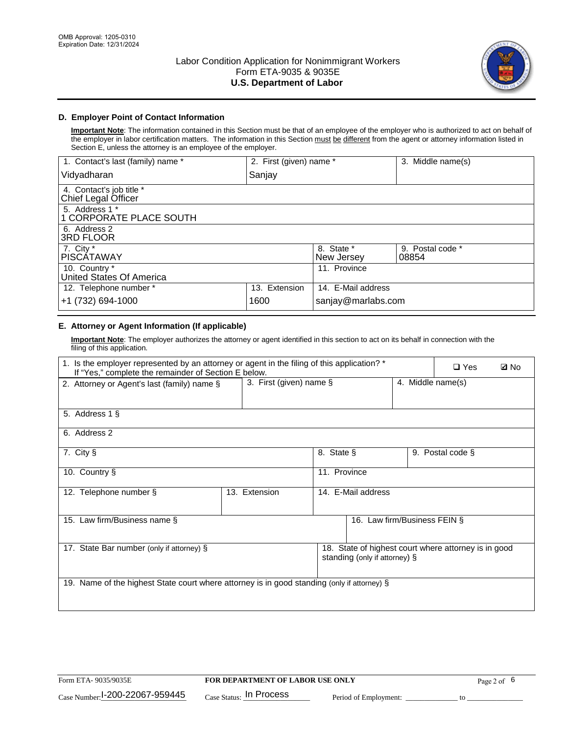

### **D. Employer Point of Contact Information**

**Important Note**: The information contained in this Section must be that of an employee of the employer who is authorized to act on behalf of the employer in labor certification matters. The information in this Section must be different from the agent or attorney information listed in Section E, unless the attorney is an employee of the employer.

| 1. Contact's last (family) name *               | 2. First (given) name * |                          | 3. Middle name(s)         |
|-------------------------------------------------|-------------------------|--------------------------|---------------------------|
| Vidyadharan                                     | Sanjay                  |                          |                           |
| 4. Contact's job title *<br>Chief Legal Officer |                         |                          |                           |
| 5. Address 1 *<br>1 CORPORATE PLACE SOUTH       |                         |                          |                           |
| 6. Address 2<br><b>3RD FLOOR</b>                |                         |                          |                           |
| 7. City *<br><b>PISCÁTAWAY</b>                  |                         | 8. State *<br>New Jersey | 9. Postal code *<br>08854 |
| 10. Country *<br>United States Of America       |                         | 11. Province             |                           |
| 12. Telephone number *                          | 13. Extension           | 14. E-Mail address       |                           |
| +1 (732) 694-1000                               | 1600                    | sanjay@marlabs.com       |                           |

# **E. Attorney or Agent Information (If applicable)**

**Important Note**: The employer authorizes the attorney or agent identified in this section to act on its behalf in connection with the filing of this application.

| 1. Is the employer represented by an attorney or agent in the filing of this application? *<br>If "Yes," complete the remainder of Section E below. |                            | $\Box$ Yes   | <b>Ø</b> No                   |                   |                                                      |  |
|-----------------------------------------------------------------------------------------------------------------------------------------------------|----------------------------|--------------|-------------------------------|-------------------|------------------------------------------------------|--|
| 2. Attorney or Agent's last (family) name §                                                                                                         | 3. First (given) name $\S$ |              |                               | 4. Middle name(s) |                                                      |  |
| 5. Address 1 §                                                                                                                                      |                            |              |                               |                   |                                                      |  |
| 6. Address 2                                                                                                                                        |                            |              |                               |                   |                                                      |  |
| 7. City §                                                                                                                                           |                            | 8. State §   |                               |                   | 9. Postal code §                                     |  |
| 10. Country §                                                                                                                                       |                            | 11. Province |                               |                   |                                                      |  |
| 12. Telephone number §                                                                                                                              | 13. Extension              |              | 14. E-Mail address            |                   |                                                      |  |
| 15. Law firm/Business name §                                                                                                                        |                            |              | 16. Law firm/Business FEIN §  |                   |                                                      |  |
| 17. State Bar number (only if attorney) §                                                                                                           |                            |              | standing (only if attorney) § |                   | 18. State of highest court where attorney is in good |  |
| 19. Name of the highest State court where attorney is in good standing (only if attorney) §                                                         |                            |              |                               |                   |                                                      |  |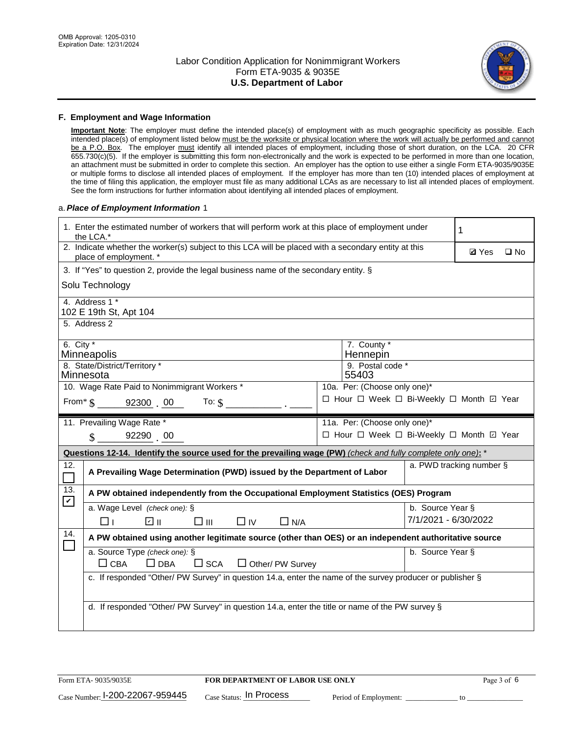

#### **F. Employment and Wage Information**

**Important Note**: The employer must define the intended place(s) of employment with as much geographic specificity as possible. Each intended place(s) of employment listed below must be the worksite or physical location where the work will actually be performed and cannot be a P.O. Box. The employer must identify all intended places of employment, including those of short duration, on the LCA. 20 CFR 655.730(c)(5). If the employer is submitting this form non-electronically and the work is expected to be performed in more than one location, an attachment must be submitted in order to complete this section. An employer has the option to use either a single Form ETA-9035/9035E or multiple forms to disclose all intended places of employment. If the employer has more than ten (10) intended places of employment at the time of filing this application, the employer must file as many additional LCAs as are necessary to list all intended places of employment. See the form instructions for further information about identifying all intended places of employment.

#### a.*Place of Employment Information* 1

|                                                                           | 1. Enter the estimated number of workers that will perform work at this place of employment under<br>the LCA.*                 |  |                                          |                          |              |              |  |
|---------------------------------------------------------------------------|--------------------------------------------------------------------------------------------------------------------------------|--|------------------------------------------|--------------------------|--------------|--------------|--|
|                                                                           | 2. Indicate whether the worker(s) subject to this LCA will be placed with a secondary entity at this<br>place of employment. * |  |                                          |                          | <b>Ø</b> Yes | $\square$ No |  |
|                                                                           | 3. If "Yes" to question 2, provide the legal business name of the secondary entity. §                                          |  |                                          |                          |              |              |  |
|                                                                           | Solu Technology                                                                                                                |  |                                          |                          |              |              |  |
|                                                                           | 4. Address 1 *<br>102 E 19th St, Apt 104                                                                                       |  |                                          |                          |              |              |  |
|                                                                           | 5. Address 2                                                                                                                   |  |                                          |                          |              |              |  |
|                                                                           | 6. City $*$<br>7. County *<br>Minneapolis<br>Hennepin                                                                          |  |                                          |                          |              |              |  |
| 8. State/District/Territory *<br>9. Postal code *<br>Minnesota<br>55403   |                                                                                                                                |  |                                          |                          |              |              |  |
| 10. Wage Rate Paid to Nonimmigrant Workers *                              |                                                                                                                                |  | 10a. Per: (Choose only one)*             |                          |              |              |  |
| □ Hour □ Week □ Bi-Weekly □ Month 回 Year<br>From * \$ 92300 00<br>To: $$$ |                                                                                                                                |  |                                          |                          |              |              |  |
|                                                                           | 11. Prevailing Wage Rate *                                                                                                     |  | 11a. Per: (Choose only one)*             |                          |              |              |  |
|                                                                           | 92290 00<br>$\mathcal{S}$                                                                                                      |  | □ Hour □ Week □ Bi-Weekly □ Month ☑ Year |                          |              |              |  |
|                                                                           | Questions 12-14. Identify the source used for the prevailing wage (PW) (check and fully complete only one): *                  |  |                                          |                          |              |              |  |
| 12.                                                                       | A Prevailing Wage Determination (PWD) issued by the Department of Labor                                                        |  |                                          | a. PWD tracking number § |              |              |  |
| 13.<br>$\blacktriangledown$                                               | A PW obtained independently from the Occupational Employment Statistics (OES) Program                                          |  |                                          |                          |              |              |  |
|                                                                           | a. Wage Level (check one): §                                                                                                   |  |                                          | b. Source Year §         |              |              |  |
|                                                                           | ☑ ॥<br>□Ⅲ<br>$\Box$ IV<br>$\Box$ N/A<br>l 11                                                                                   |  |                                          | 7/1/2021 - 6/30/2022     |              |              |  |
| 14.                                                                       | A PW obtained using another legitimate source (other than OES) or an independent authoritative source                          |  |                                          |                          |              |              |  |
|                                                                           | a. Source Type (check one): §<br>$\Box$ CBA<br>$\Box$ DBA<br>$\Box$ SCA<br>$\Box$ Other/ PW Survey                             |  |                                          | b. Source Year §         |              |              |  |
|                                                                           | c. If responded "Other/ PW Survey" in question 14.a, enter the name of the survey producer or publisher §                      |  |                                          |                          |              |              |  |
|                                                                           | d. If responded "Other/ PW Survey" in question 14.a, enter the title or name of the PW survey §                                |  |                                          |                          |              |              |  |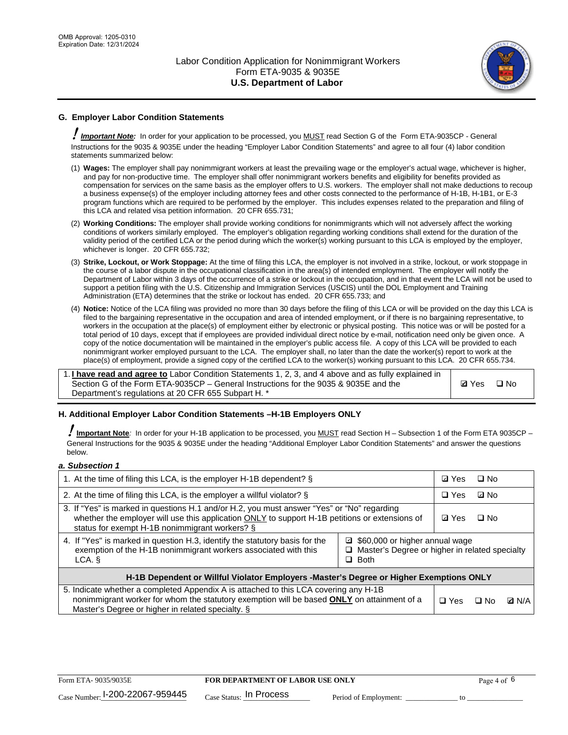

# **G. Employer Labor Condition Statements**

! *Important Note:* In order for your application to be processed, you MUST read Section G of the Form ETA-9035CP - General Instructions for the 9035 & 9035E under the heading "Employer Labor Condition Statements" and agree to all four (4) labor condition statements summarized below:

- (1) **Wages:** The employer shall pay nonimmigrant workers at least the prevailing wage or the employer's actual wage, whichever is higher, and pay for non-productive time. The employer shall offer nonimmigrant workers benefits and eligibility for benefits provided as compensation for services on the same basis as the employer offers to U.S. workers. The employer shall not make deductions to recoup a business expense(s) of the employer including attorney fees and other costs connected to the performance of H-1B, H-1B1, or E-3 program functions which are required to be performed by the employer. This includes expenses related to the preparation and filing of this LCA and related visa petition information. 20 CFR 655.731;
- (2) **Working Conditions:** The employer shall provide working conditions for nonimmigrants which will not adversely affect the working conditions of workers similarly employed. The employer's obligation regarding working conditions shall extend for the duration of the validity period of the certified LCA or the period during which the worker(s) working pursuant to this LCA is employed by the employer, whichever is longer. 20 CFR 655.732;
- (3) **Strike, Lockout, or Work Stoppage:** At the time of filing this LCA, the employer is not involved in a strike, lockout, or work stoppage in the course of a labor dispute in the occupational classification in the area(s) of intended employment. The employer will notify the Department of Labor within 3 days of the occurrence of a strike or lockout in the occupation, and in that event the LCA will not be used to support a petition filing with the U.S. Citizenship and Immigration Services (USCIS) until the DOL Employment and Training Administration (ETA) determines that the strike or lockout has ended. 20 CFR 655.733; and
- (4) **Notice:** Notice of the LCA filing was provided no more than 30 days before the filing of this LCA or will be provided on the day this LCA is filed to the bargaining representative in the occupation and area of intended employment, or if there is no bargaining representative, to workers in the occupation at the place(s) of employment either by electronic or physical posting. This notice was or will be posted for a total period of 10 days, except that if employees are provided individual direct notice by e-mail, notification need only be given once. A copy of the notice documentation will be maintained in the employer's public access file. A copy of this LCA will be provided to each nonimmigrant worker employed pursuant to the LCA. The employer shall, no later than the date the worker(s) report to work at the place(s) of employment, provide a signed copy of the certified LCA to the worker(s) working pursuant to this LCA. 20 CFR 655.734.

1. **I have read and agree to** Labor Condition Statements 1, 2, 3, and 4 above and as fully explained in Section G of the Form ETA-9035CP – General Instructions for the 9035 & 9035E and the Department's regulations at 20 CFR 655 Subpart H. \*

**Ø**Yes ロNo

#### **H. Additional Employer Labor Condition Statements –H-1B Employers ONLY**

!**Important Note***:* In order for your H-1B application to be processed, you MUST read Section H – Subsection 1 of the Form ETA 9035CP – General Instructions for the 9035 & 9035E under the heading "Additional Employer Labor Condition Statements" and answer the questions below.

#### *a. Subsection 1*

| 1. At the time of filing this LCA, is the employer H-1B dependent? §                                                                                                                                                                           | ⊡ Yes                                                                                               | $\square$ No |              |  |
|------------------------------------------------------------------------------------------------------------------------------------------------------------------------------------------------------------------------------------------------|-----------------------------------------------------------------------------------------------------|--------------|--------------|--|
| 2. At the time of filing this LCA, is the employer a willful violator? $\S$                                                                                                                                                                    |                                                                                                     | $\Box$ Yes   | ⊡ No         |  |
| 3. If "Yes" is marked in questions H.1 and/or H.2, you must answer "Yes" or "No" regarding<br>whether the employer will use this application ONLY to support H-1B petitions or extensions of<br>status for exempt H-1B nonimmigrant workers? § |                                                                                                     |              | $\Box$ No    |  |
| 4. If "Yes" is marked in question H.3, identify the statutory basis for the<br>exemption of the H-1B nonimmigrant workers associated with this<br>LCA.                                                                                         | ■ \$60,000 or higher annual wage<br>□ Master's Degree or higher in related specialty<br>$\Box$ Both |              |              |  |
| H-1B Dependent or Willful Violator Employers -Master's Degree or Higher Exemptions ONLY                                                                                                                                                        |                                                                                                     |              |              |  |
| 5. Indicate whether a completed Appendix A is attached to this LCA covering any H-1B<br>nonimmigrant worker for whom the statutory exemption will be based <b>ONLY</b> on attainment of a<br>Master's Degree or higher in related specialty. § | $\Box$ Yes                                                                                          | ⊡ No         | <b>Q</b> N/A |  |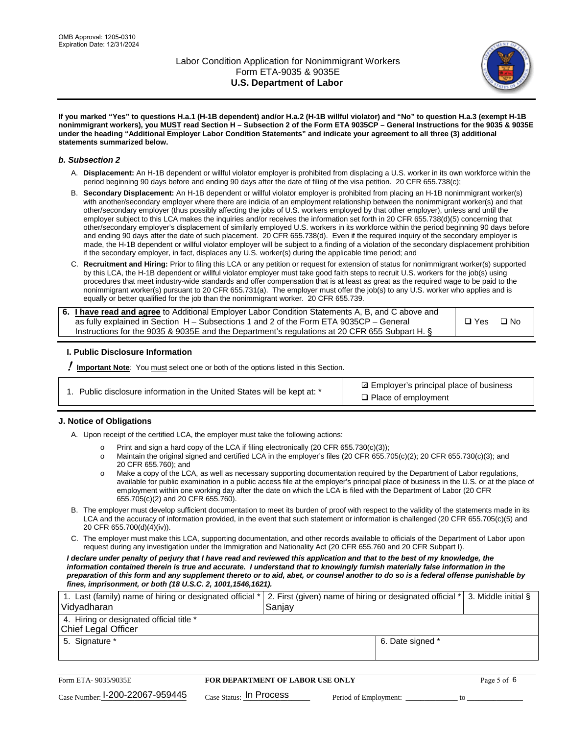

**If you marked "Yes" to questions H.a.1 (H-1B dependent) and/or H.a.2 (H-1B willful violator) and "No" to question H.a.3 (exempt H-1B nonimmigrant workers), you MUST read Section H – Subsection 2 of the Form ETA 9035CP – General Instructions for the 9035 & 9035E under the heading "Additional Employer Labor Condition Statements" and indicate your agreement to all three (3) additional statements summarized below.**

#### *b. Subsection 2*

- A. **Displacement:** An H-1B dependent or willful violator employer is prohibited from displacing a U.S. worker in its own workforce within the period beginning 90 days before and ending 90 days after the date of filing of the visa petition. 20 CFR 655.738(c);
- B. **Secondary Displacement:** An H-1B dependent or willful violator employer is prohibited from placing an H-1B nonimmigrant worker(s) with another/secondary employer where there are indicia of an employment relationship between the nonimmigrant worker(s) and that other/secondary employer (thus possibly affecting the jobs of U.S. workers employed by that other employer), unless and until the employer subject to this LCA makes the inquiries and/or receives the information set forth in 20 CFR 655.738(d)(5) concerning that other/secondary employer's displacement of similarly employed U.S. workers in its workforce within the period beginning 90 days before and ending 90 days after the date of such placement. 20 CFR 655.738(d). Even if the required inquiry of the secondary employer is made, the H-1B dependent or willful violator employer will be subject to a finding of a violation of the secondary displacement prohibition if the secondary employer, in fact, displaces any U.S. worker(s) during the applicable time period; and
- C. **Recruitment and Hiring:** Prior to filing this LCA or any petition or request for extension of status for nonimmigrant worker(s) supported by this LCA, the H-1B dependent or willful violator employer must take good faith steps to recruit U.S. workers for the job(s) using procedures that meet industry-wide standards and offer compensation that is at least as great as the required wage to be paid to the nonimmigrant worker(s) pursuant to 20 CFR 655.731(a). The employer must offer the job(s) to any U.S. worker who applies and is equally or better qualified for the job than the nonimmigrant worker. 20 CFR 655.739.

| 6. I have read and agree to Additional Employer Labor Condition Statements A, B, and C above and |       |           |
|--------------------------------------------------------------------------------------------------|-------|-----------|
| as fully explained in Section H – Subsections 1 and 2 of the Form ETA 9035CP – General           | □ Yes | $\Box$ No |
| Instructions for the 9035 & 9035E and the Department's regulations at 20 CFR 655 Subpart H. §    |       |           |

#### **I. Public Disclosure Information**

! **Important Note***:* You must select one or both of the options listed in this Section.

|  | 1. Public disclosure information in the United States will be kept at: * |  |  |  |
|--|--------------------------------------------------------------------------|--|--|--|
|  |                                                                          |  |  |  |

**sqrt** Employer's principal place of business □ Place of employment

#### **J. Notice of Obligations**

A. Upon receipt of the certified LCA, the employer must take the following actions:

- o Print and sign a hard copy of the LCA if filing electronically (20 CFR 655.730(c)(3));<br>
Maintain the original signed and certified LCA in the employer's files (20 CFR 655.7
- Maintain the original signed and certified LCA in the employer's files (20 CFR 655.705(c)(2); 20 CFR 655.730(c)(3); and 20 CFR 655.760); and
- o Make a copy of the LCA, as well as necessary supporting documentation required by the Department of Labor regulations, available for public examination in a public access file at the employer's principal place of business in the U.S. or at the place of employment within one working day after the date on which the LCA is filed with the Department of Labor (20 CFR 655.705(c)(2) and 20 CFR 655.760).
- B. The employer must develop sufficient documentation to meet its burden of proof with respect to the validity of the statements made in its LCA and the accuracy of information provided, in the event that such statement or information is challenged (20 CFR 655.705(c)(5) and 20 CFR 655.700(d)(4)(iv)).
- C. The employer must make this LCA, supporting documentation, and other records available to officials of the Department of Labor upon request during any investigation under the Immigration and Nationality Act (20 CFR 655.760 and 20 CFR Subpart I).

*I declare under penalty of perjury that I have read and reviewed this application and that to the best of my knowledge, the*  information contained therein is true and accurate. I understand that to knowingly furnish materially false information in the *preparation of this form and any supplement thereto or to aid, abet, or counsel another to do so is a federal offense punishable by fines, imprisonment, or both (18 U.S.C. 2, 1001,1546,1621).*

| 1. Last (family) name of hiring or designated official *   2. First (given) name of hiring or designated official *   3. Middle initial §<br>Vidyadharan | Saniav           |  |
|----------------------------------------------------------------------------------------------------------------------------------------------------------|------------------|--|
| 4. Hiring or designated official title *<br>Chief Legal Officer                                                                                          |                  |  |
| 5. Signature *                                                                                                                                           | 6. Date signed * |  |

| Form ETA-9035/9035E                         | <b>FOR DEPARTMENT OF LABOR USE ONLY</b> | Page 5 of 6           |  |
|---------------------------------------------|-----------------------------------------|-----------------------|--|
| $_{\text{Case Number:}}$ I-200-22067-959445 | $_{\rm Case~S status:}$ In Process      | Period of Employment: |  |